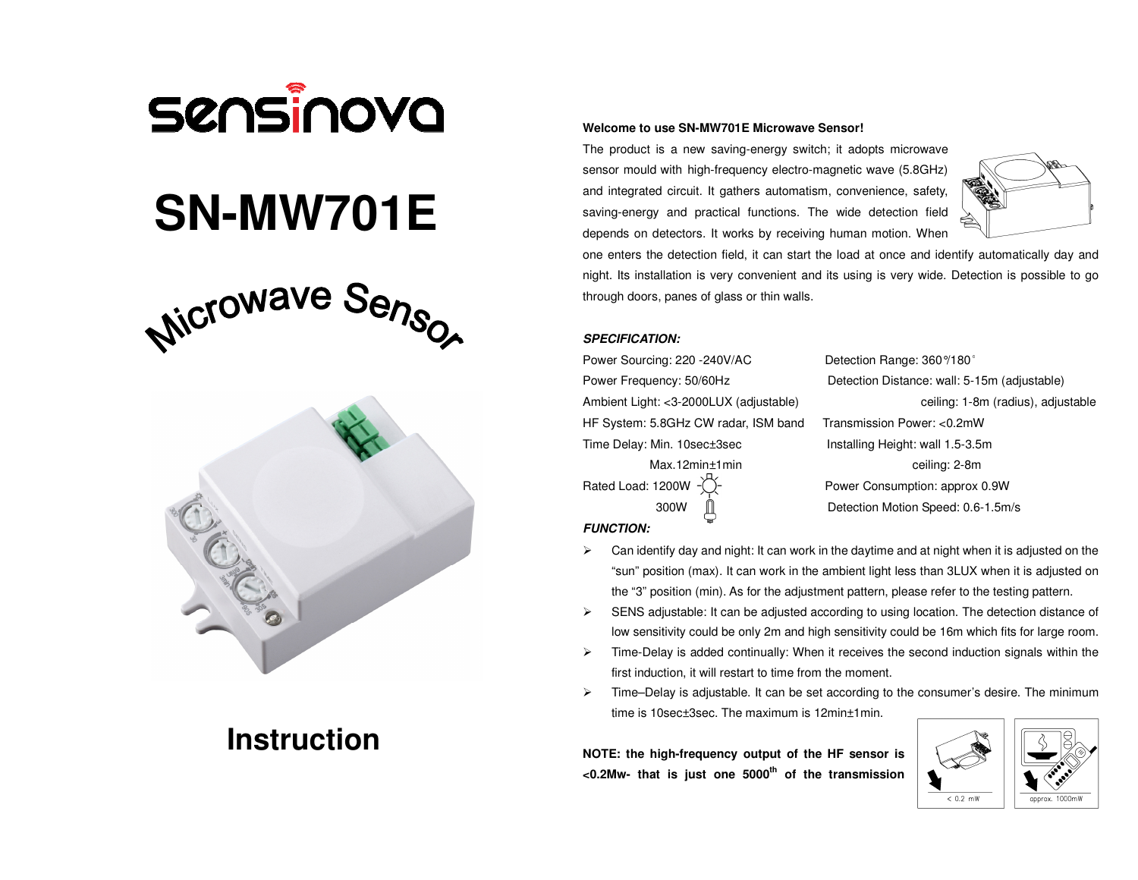

# **SN-MW701E**





# **Instruction**

#### **Welcome to use SN-MW701E Microwave Sensor!**

The product is a new saving-energy switch; it adopts microwave sensor mould with high-frequency electro-magnetic wave (5.8GHz) and integrated circuit. It gathers automatism, convenience, safety, saving-energy and practical functions. The wide detection field depends on detectors. It works by receiving human motion. When



one enters the detection field, it can start the load at once and identify automatically day and night. Its installation is very convenient and its using is very wide. Detection is possible to go through doors, panes of glass or thin walls.

# **SPECIFICATION:**

Power Sourcing: 220 -240V/AC Detection Range: 360 °/180 ° HF System: 5.8GHz CW radar, ISM band Transmission Power: <0.2mW Time Delay: Min. 10sec±3sec Installing Height: wall 1.5-3.5m

 Power Frequency: 50/60Hz Detection Distance: wall: 5-15m (adjustable) Ambient Light: <3-2000LUX (adjustable) ceiling: 1-8m (radius), adjustable Max.12min±1min ceiling: 2-8m Rated Load: 1200W  $-\check{O}$ - Power Consumption: approx 0.9W 300W Detection Motion Speed: 0.6-1.5m/s

**FUNCTION:**

- $\triangleright$  Can identify day and night: It can work in the daytime and at night when it is adjusted on the "sun" position (max). It can work in the ambient light less than 3LUX when it is adjusted on the "3" position (min). As for the adjustment pattern, please refer to the testing pattern.
- $\triangleright$  SENS adjustable: It can be adjusted according to using location. The detection distance of low sensitivity could be only 2m and high sensitivity could be 16m which fits for large room.
- $\triangleright$  Time-Delay is added continually: When it receives the second induction signals within the first induction, it will restart to time from the moment.
- $\triangleright$  Time–Delay is adjustable. It can be set according to the consumer's desire. The minimum time is 10sec±3sec. The maximum is 12min±1min.

**NOTE: the high-frequency output of the HF sensor is <0.2Mw- that is just one 5000th of the transmission**